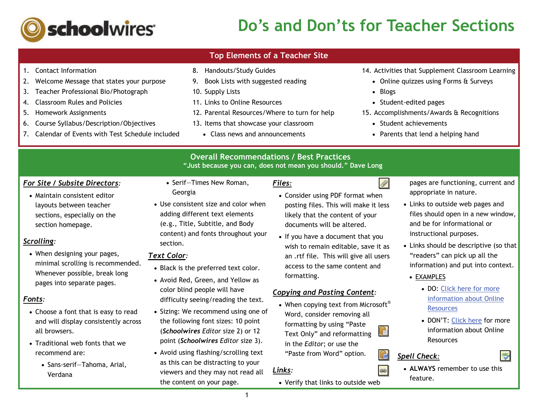

# **Do's and Don'ts for Teacher Sections**

#### 1. Contact Information 8. Handouts/Study Guides 14. Activities that Supplement Classroom Learning 9. Book Lists with suggested reading 2. Welcome Message that states your purpose Online quizzes using Forms & Surveys 3. Teacher Professional Bio/Photograph 10. Supply Lists • Blogs 4. Classroom Rules and Policies 11. Links to Online Resources • Student-edited pages 5. Homework Assignments 12. Parental Resources/Where to turn for help 15. Accomplishments/Awards & Recognitions 6. Course Syllabus/Description/Objectives 13. Items that showcase your classroom  $\bullet\,$  Student achievements 7. Calendar of Events with Test Schedule included Class news and announcements Parents that lend a helping hand **Overall Recommendations / Best Practices "Just because you can, does not mean you should." Dave Long** *Files:*0 *For Site / Subsite Directors:*  • Serif—Times New Roman, Georgia  $\bullet\,$  Maintain consistent editor  $\,$  Consider using PDF format when layouts between teacher Use consistent size and color when posting files. This will make it less adding different text elements sections, especially on the likely that the content of your (e.g., Title, Subtitle, and Body section homepage. documents will be altered. content) and fonts throughout your  $\bullet$  If you have a document that you *Scrolling:* section. wish to remain editable, save it as When designing your pages, *Text Color:*an .rtf file. This will give all users minimal scrolling is recommended. access to the same content and • Black is the preferred text color. Whenever possible, break long formatting. Avoid Red, Green, and Yellow as pages into separate pages. color blind people will have *Copying and Pasting Content:* difficulty seeing/reading the text.  $\bullet\,$  When copying text from Microsoft $^\circ$

**Top Elements of a Teacher Site** 

- Choose a font that is easy to read and will display consistently across all browsers.
- $\bullet$  Traditional web fonts that we recommend are:

*Fonts:*

- Sans-serif—Tahoma, Arial, Verdana
- Sizing: We recommend using one of the following font sizes: 10 point (*Schoolwires Editor* size 2) or 12 point (*Schoolwires Editor* size 3).
- Avoid using flashing/scrolling text as this can be distracting to your viewers and they may not read all the content on your page.

Word, consider removing all formatting by using "Paste Text Only" and reformatting in the *Editor*; or use the "Paste from Word" option.

Verify that links to outside web

*Links:*

1

- pages are functioning, current and appropriate in nature.
- Links to outside web pages and files should open in a new window, and be for informational or instructional purposes.
- Links should be descriptive (so that  $|$ "readers" can pick up all the information) and put into context.
- <u>EXAMPLES</u>
	- DO: Click here for more information about Online Resources
	- DON'T: Click here for more information about Online Resources

## *Spell Check:*

Ġ

 $\circledast$ 

 **ALWAYS** remember to use this feature.